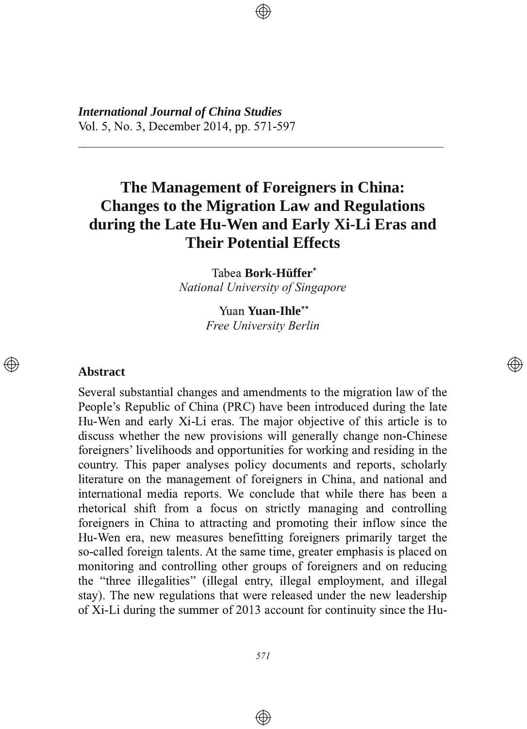*International Journal of China Studies* Vol. 5, No. 3, December 2014, pp. 571-597

# **The Management of Foreigners in China: Changes to the Migration Law and Regulations during** the Late Hu-Wen and Early Xi-Li Eras and **Their Potential Effects**

3333333333333333333333333333333333333333333333333333333333

Tabea Bork-Hüffer<sup>\*</sup> *National University of Singapore*

> Yuan **Yuan-Ihle**\*\* *Free University Berlin*

> > </u>

#### **Abstract**

 $\circledcirc$ 

Several substantial changes and amendments to the migration law of the People's Republic of China (PRC) have been introduced during the late Hu-Wen and early Xi-Li eras. The major objective of this article is to discuss whether the new provisions will generally change non-Chinese foreigners' livelihoods and opportunities for working and residing in the country. This paper analyses policy documents and reports, scholarly literature on the management of foreigners in China, and national and international media reports. We conclude that while there has been a rhetorical shift from a focus on strictly managing and controlling foreigners in China to attracting and promoting their inflow since the Hu-Wen era, new measures benefitting foreigners primarily target the so-called foreign talents. At the same time, greater emphasis is placed on monitoring and controlling other groups of foreigners and on reducing the "three illegalities" (illegal entry, illegal employment, and illegal stay). The new regulations that were released under the new leadership of Xi-Li during the summer of 2013 account for continuity since the Hu-

 $\bigoplus$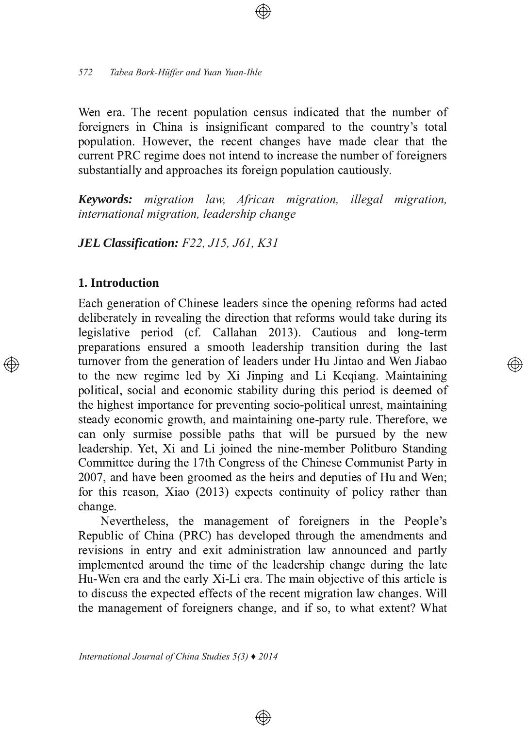Wen era. The recent population census indicated that the number of foreigners in China is insignificant compared to the country's total population. However, the recent changes have made clear that the current PRC regime does not intend to increase the number of foreigners substantially and approaches its foreign population cautiously.

**Keywords:** migration law, African migration, illegal migration, international migration, leadership change

**JEL Classification:** F22, J15, J61, K31

### 1. Introduction

Each generation of Chinese leaders since the opening reforms had acted deliberately in revealing the direction that reforms would take during its legislative period (cf. Callahan 2013). Cautious and long-term preparations ensured a smooth leadership transition during the last turnover from the generation of leaders under Hu Jintao and Wen Jiabao to the new regime led by Xi Jinping and Li Keqiang. Maintaining political, social and economic stability during this period is deemed of the highest importance for preventing socio-political unrest, maintaining steady economic growth, and maintaining one-party rule. Therefore, we can only surmise possible paths that will be pursued by the new leadership. Yet, Xi and Li joined the nine-member Politburo Standing Committee during the 17th Congress of the Chinese Communist Party in 2007, and have been groomed as the heirs and deputies of Hu and Wen; for this reason, Xiao (2013) expects continuity of policy rather than change.

</u>

Nevertheless, the management of foreigners in the People's Republic of China (PRC) has developed through the amendments and revisions in entry and exit administration law announced and partly implemented around the time of the leadership change during the late Hu-Wen era and the early Xi-Li era. The main objective of this article is to discuss the expected effects of the recent migration law changes. Will the management of foreigners change, and if so, to what extent? What

 $\bigoplus$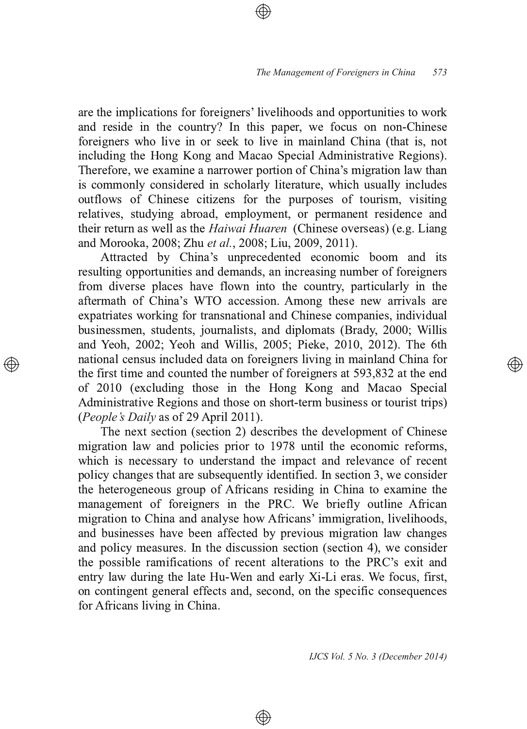are the implications for foreigners' livelihoods and opportunities to work and reside in the country? In this paper, we focus on non-Chinese foreigners who live in or seek to live in mainland China (that is, not including the Hong Kong and Macao Special Administrative Regions). 1 Therefore, we examine a narrower portion of China's migration law than is commonly considered in scholarly literature, which usually includes outflows of Chinese citizens for the purposes of tourism, visiting relatives, studying abroad, employment, or permanent residence and their return as well as the *Haiwai Huaren* (Chinese overseas) (e.g. Liang and Morooka, 2008; Zhu *et al.*, 2008; Liu, 2009, 2011) .

Attracted by China's unprecedented economic boom and its resulting opportunities and demands, an increasing number of foreigners from diverse places have flown into the country, particularly in the aftermath of China's WTO accession. Among these new arrivals are expatriates working for transnational and Chinese companies, individual businessmen, students, journalists, and diplomats (Brady, 2000; Willis and Yeoh, 2002; Yeoh and Willis, 2005; Pieke, 2010, 2012). The 6th national census included data on foreigners living in mainland China for the first time and counted the number of foreigners at  $593,832$  at the end of 2010 (excluding those in the Hong Kong and Macao Special Administrative Regions and those on short-term business or tourist trips) *(People's Daily* as of 29 April 2011) .

The next section (section 2) describes the development of Chinese migration law and policies prior to 1978 until the economic reforms, which is necessary to understand the impact and relevance of recent policy changes that are subsequently identified. In section 3, we consider the heterogeneous group of Africans residing in China to examine the management of foreigners in the PRC. We briefly outline African migration to China and analyse how Africans' immigration, livelihoods, and businesses have been affected by previous migration law changes and policy measures. In the discussion section (section 4), we consider the possible ramifications of recent alterations to the PRC's exit and entry law during the late Hu-Wen and early Xi-Li eras. We focus, first, on contingent general effects and, second, on the specific consequences for Africans living in China.

 $\bigoplus$ 

*IJCS Vol. 5 No. 3 (December 2014)*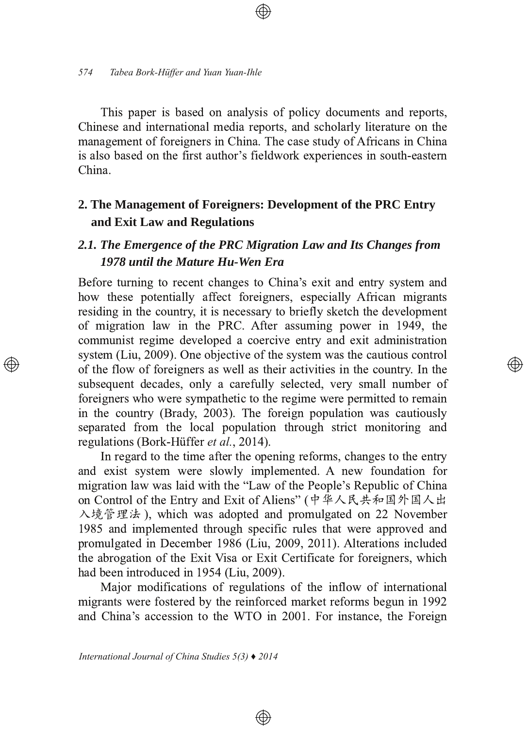This paper is based on analysis of policy documents and reports, Chinese and international media reports, and scholarly literature on the management of foreigners in China. The case study of Africans in China is also based on the first author's fieldwork experiences in south-eastern China.

### 2. The Management of Foreigners: Development of the PRC Entry and Exit Law and Regulations

### 2.1. The Emergence of the PRC Migration Law and Its Changes from 1978 until the Mature Hu-Wen Era

Before turning to recent changes to China's exit and entry system and how these potentially affect foreigners, especially African migrants residing in the country, it is necessary to briefly sketch the development of migration law in the PRC. After assuming power in 1949, the communist regime developed a coercive entry and exit administration system (Liu, 2009). One objective of the system was the cautious control of the flow of foreigners as well as their activities in the country. In the subsequent decades, only a carefully selected, very small number of foreigners who were sympathetic to the regime were permitted to remain in the country (Brady, 2003). The foreign population was cautiously separated from the local population through strict monitoring and regulations (Bork-Hüffer et al., 2014).

</u>

In regard to the time after the opening reforms, changes to the entry and exist system were slowly implemented. A new foundation for migration law was laid with the "Law of the People's Republic of China on Control of the Entry and Exit of Aliens" (中华人民共和国外国人出 入境管理法), which was adopted and promulgated on 22 November 1985 and implemented through specific rules that were approved and promulgated in December 1986 (Liu, 2009, 2011). Alterations included the abrogation of the Exit Visa or Exit Certificate for foreigners, which had been introduced in 1954 (Liu, 2009).

Major modifications of regulations of the inflow of international migrants were fostered by the reinforced market reforms begun in 1992 and China's accession to the WTO in 2001. For instance, the Foreign

 $\circledast$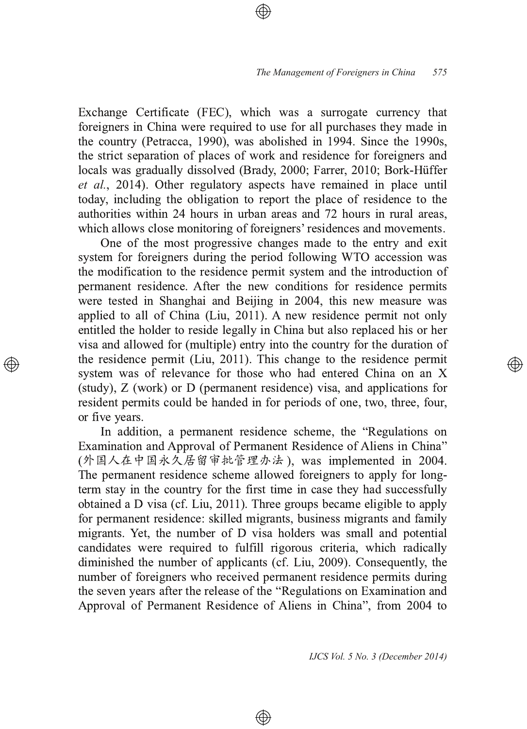Exchange Certificate (FEC), which was a surrogate currency that foreigners in China were required to use for all purchases they made in the country (Petracca, 1990), was abolished in 1994. Since the 1990s, the strict separation of places of work and residence for foreigners and locals was gradually dissolved (Brady, 2000; Farrer, 2010; Bork-Hüffer et al., 2014). Other regulatory aspects have remained in place until today, including the obligation to report the place of residence to the authorities within 24 hours in urban areas and 72 hours in rural areas, which allows close monitoring of foreigners' residences and movements.

One of the most progressive changes made to the entry and exit system for foreigners during the period following WTO accession was the modification to the residence permit system and the introduction of permanent residence. After the new conditions for residence permits were tested in Shanghai and Beijing in 2004, this new measure was applied to all of China (Liu, 2011). A new residence permit not only entitled the holder to reside legally in China but also replaced his or her visa and allowed for (multiple) entry into the country for the duration of the residence permit (Liu, 2011). This change to the residence permit system was of relevance for those who had entered China on an X  $(\text{study})$ ,  $Z$  (work) or  $D$  (permanent residence) visa, and applications for resident permits could be handed in for periods of one, two, three, four, or five years.

In addition, a permanent residence scheme, the "Regulations on Examination and Approval of Permanent Residence of Aliens in China" (外国人在中国永久居留审批管理办法 ), was implemented in 2004. The permanent residence scheme allowed foreigners to apply for longterm stay in the country for the first time in case they had successfully obtained a D visa (cf. Liu, 2011). Three groups became eligible to apply for permanent residence: skilled migrants, business migrants and family migrants. Yet, the number of D visa holders was small and potential candidates were required to fulfill rigorous criteria, which radically diminished the number of applicants (cf. Liu, 2009). Consequently, the number of foreigners who received permanent residence permits during the seven years after the release of the "Regulations on Examination and Approval of Permanent Residence of Aliens in China", from 2004 to

 $\bigoplus$ 

*IJCS Vol. 5 No. 3 (December 2014)*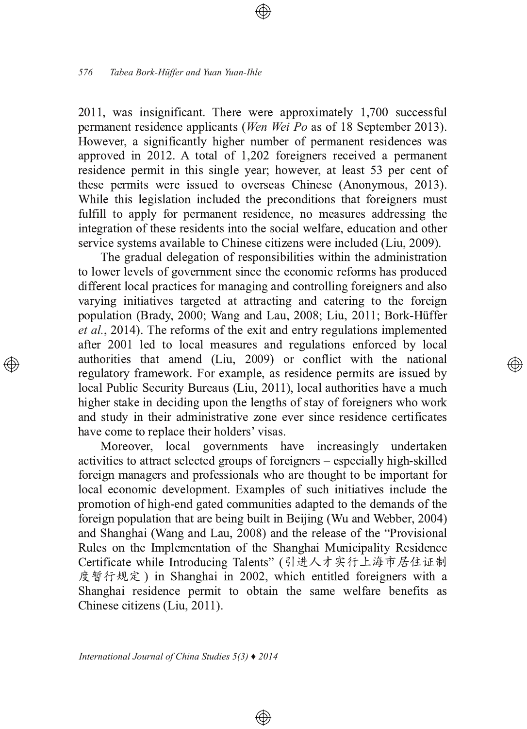2011, was insignificant. There were approximately 1,700 successful permanent residence applicants (Wen Wei Po as of 18 September 2013). However, a significantly higher number of permanent residences was approved in 2012. A total of 1,202 foreigners received a permanent residence permit in this single year; however, at least 53 per cent of these permits were issued to overseas Chinese (Anonymous, 2013). While this legislation included the preconditions that foreigners must fulfill to apply for permanent residence, no measures addressing the integration of these residents into the social welfare, education and other service systems available to Chinese citizens were included (Liu, 2009).

The gradual delegation of responsibilities within the administration to lower levels of government since the economic reforms has produced different local practices for managing and controlling foreigners and also varying initiatives targeted at attracting and catering to the foreign population (Brady, 2000; Wang and Lau, 2008; Liu, 2011; Bork-Hüffer et al., 2014). The reforms of the exit and entry regulations implemented after 2001 led to local measures and regulations enforced by local authorities that amend (Liu, 2009) or conflict with the national regulatory framework. For example, as residence permits are issued by local Public Security Bureaus (Liu, 2011), local authorities have a much higher stake in deciding upon the lengths of stay of foreigners who work and study in their administrative zone ever since residence certificates have come to replace their holders' visas.

্⊕

Moreover, local governments have increasingly undertaken activities to attract selected groups of foreigners – especially high-skilled foreign managers and professionals who are thought to be important for local economic development. Examples of such initiatives include the promotion of high-end gated communities adapted to the demands of the foreign population that are being built in Beijing (Wu and Webber, 2004) and Shanghai (Wang and Lau, 2008) and the release of the "Provisional Rules on the Implementation of the Shanghai Municipality Residence Certificate while Introducing Talents" (引进人才实行上海市居住证制 度暂行规定) in Shanghai in 2002, which entitled foreigners with a Shanghai residence permit to obtain the same welfare benefits as Chinese citizens (Liu, 2011).

 $\circledast$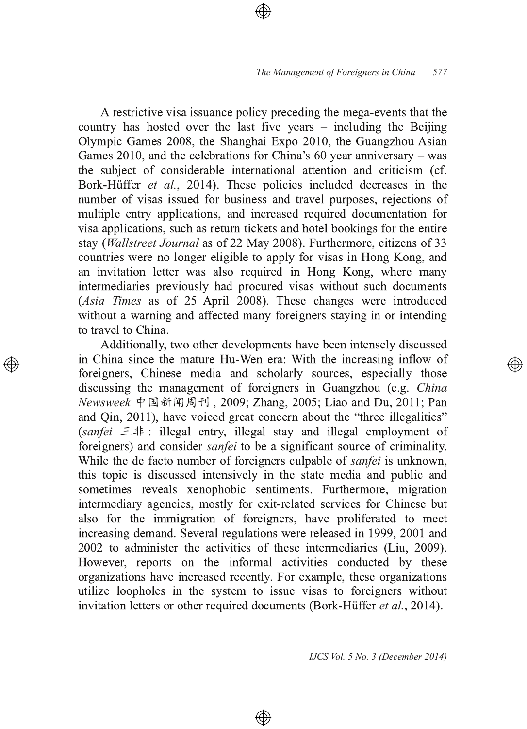A restrictive visa issuance policy preceding the mega-events that the country has hosted over the last five years  $-$  including the Beijing Olympic Games 2008, the Shanghai Expo 2010, the Guangzhou Asian Games 2010, and the celebrations for China's 60 year anniversary  $-$  was the subject of considerable international attention and criticism (cf. Bork-Hüffer et al., 2014). These policies included decreases in the number of visas issued for business and travel purposes, rejections of multiple entry applications, and increased required documentation for visa applications, such as return tickets and hotel bookings for the entire stay (Wallstreet Journal as of 22 May 2008). Furthermore, citizens of 33 countries were no longer eligible to apply for visas in Hong Kong, and an invitation letter was also required in Hong Kong, where many intermediaries previously had procured visas without such documents (Asia Times as of 25 April 2008). These changes were introduced without a warning and affected many foreigners staying in or intending to travel to China.

Additionally, two other developments have been intensely discussed in China since the mature Hu-Wen era: With the increasing inflow of foreigners, Chinese media and scholarly sources, especially those discussing the management of foreigners in Guangzhou (e.g. *China*) *Newsweek* 中国新闻周刊 , 2009; Zhang, 2005; Liao and Du, 2011; Pan and Qin, 2011), have voiced great concern about the "three illegalities"  $(sanfei \leq \frac{1}{i}$ : illegal entry, illegal stay and illegal employment of foreigners) and consider sanfei to be a significant source of criminality. While the de facto number of foreigners culpable of *sanfei* is unknown, this topic is discussed intensively in the state media and public and sometimes reveals xenophobic sentiments. Furthermore, migration intermediary agencies, mostly for exit-related services for Chinese but also for the immigration of foreigners, have proliferated to meet increasing demand. Several regulations were released in 1999, 2001 and 2002 to administer the activities of these intermediaries (Liu, 2009) 1 However, reports on the informal activities conducted by these organizations have increased recently. For example, these organizations utilize loopholes in the system to issue visas to foreigners without invitation letters or other required documents (Bork-Hüffer et al., 2014)  $\overline{\phantom{a}}$ 

⊕

*IJCS Vol. 5 No. 3 (December 2014)*

্⊕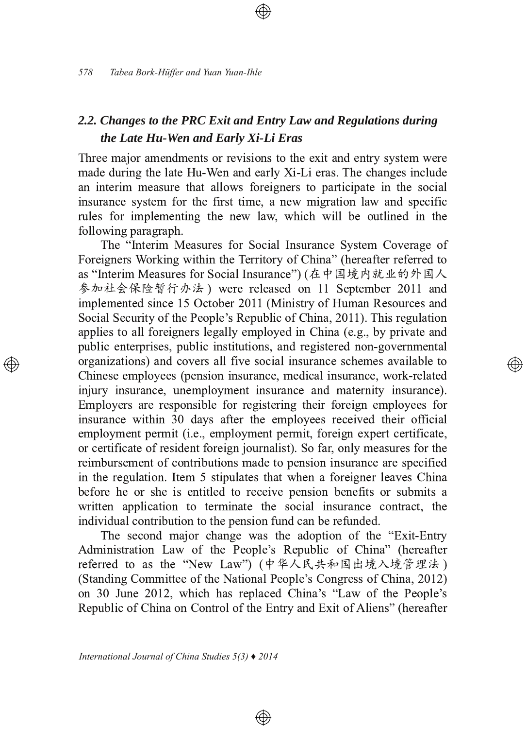## 2.2. Changes to the PRC Exit and Entry Law and Regulations during the Late Hu-Wen and Early Xi-Li Eras

Three major amendments or revisions to the exit and entry system were made during the late Hu-Wen and early Xi-Li eras. The changes include an interim measure that allows foreigners to participate in the social insurance system for the first time, a new migration law and specific rules for implementing the new law, which will be outlined in the following paragraph.

The "Interim Measures for Social Insurance System Coverage of Foreigners Working within the Territory of China" (hereafter referred to as "Interim Measures for Social Insurance") (在中国境内就业的外国人 参加社会保险暂行办法)were released on 11 September 2011 and implemented since 15 October 2011 (Ministry of Human Resources and Social Security of the People's Republic of China, 2011). This regulation applies to all foreigners legally employed in China (e.g., by private and public enterprises, public institutions, and registered non-governmental organizations) and covers all five social insurance schemes available to Chinese employees (pension insurance, medical insurance, work-related injury insurance, unemployment insurance and maternity insurance). Employers are responsible for registering their foreign employees for insurance within 30 days after the employees received their official employment permit (i.e., employment permit, foreign expert certificate, or certificate of resident foreign journalist). So far, only measures for the reimbursement of contributions made to pension insurance are specified in the regulation. Item 5 stipulates that when a foreigner leaves China before he or she is entitled to receive pension benefits or submits a written application to terminate the social insurance contract, the individual contribution to the pension fund can be refunded.

্⊕

The second major change was the adoption of the "Exit-Entry" Administration Law of the People's Republic of China" (hereafter referred to as the "New Law") (中华人民共和国出境入境管理法) (Standing Committee of the National People's Congress of China, 2012) on 30 June 2012, which has replaced China's "Law of the People's Republic of China on Control of the Entry and Exit of Aliens" (hereafter

 $\circledast$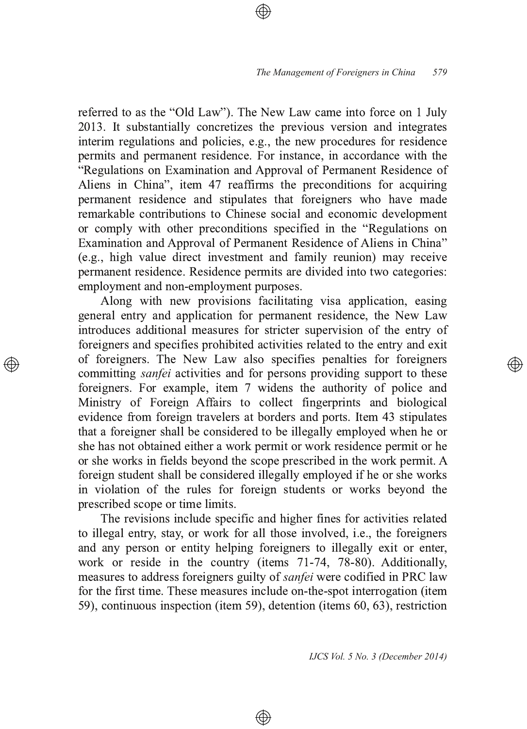referred to as the "Old Law"). The New Law came into force on 1 July 2013. It substantially concretizes the previous version and integrates interim regulations and policies, e.g., the new procedures for residence permits and permanent residence. For instance, in accordance with the "Regulations on Examination and Approval of Permanent Residence of Aliens in China", item 47 reaffirms the preconditions for acquiring permanent residence and stipulates that foreigners who have made remarkable contributions to Chinese social and economic development or comply with other preconditions specified in the "Regulations on Examination and Approval of Permanent Residence of Aliens in China" (e.g., high value direct investment and family reunion) may receive permanent residence. Residence permits are divided into two categories: employment and non-employment purposes.

Along with new provisions facilitating visa application, easing general entry and application for permanent residence, the New Law introduces additional measures for stricter supervision of the entry of foreigners and specifies prohibited activities related to the entry and exit of foreigners. The New Law also specifies penalties for foreigners committing *sanfei* activities and for persons providing support to these foreigners. For example, item 7 widens the authority of police and Ministry of Foreign Affairs to collect fingerprints and biological evidence from foreign travelers at borders and ports. Item 43 stipulates that a foreigner shall be considered to be illegally employed when he or she has not obtained either a work permit or work residence permit or he or she works in fields beyond the scope prescribed in the work permit. A foreign student shall be considered illegally employed if he or she works in violation of the rules for foreign students or works beyond the prescribed scope or time limits.

The revisions include specific and higher fines for activities related to illegal entry, stay, or work for all those involved, i.e., the foreigners and any person or entity helping foreigners to illegally exit or enter, work or reside in the country (items  $71-74$ ,  $78-80$ ). Additionally, measures to address foreigners guilty of *sanfei* were codified in PRC law for the first time. These measures include on-the-spot interrogation (item 59), continuous inspection (item 59), detention (items 60, 63), restriction

⊕

*IJCS Vol. 5 No. 3 (December 2014)*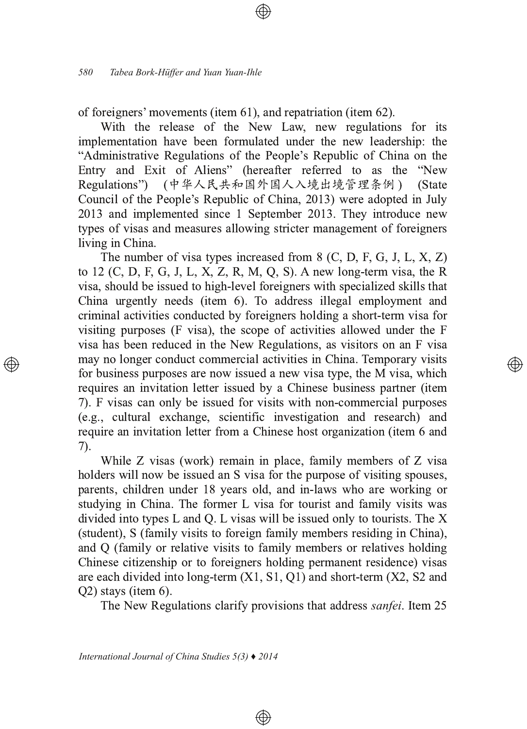of foreigners' movements (item 61), and repatriation (item 62).

With the release of the New Law, new regulations for its implementation have been formulated under the new leadership: the "Administrative Regulations of the People's Republic of China on the Entry and Exit of Aliens" (hereafter referred to as the "New Regulations") (中华人民共和国外国人入境出境管理条例) (State Council of the People's Republic of China, 2013) were adopted in July 2013 and implemented since 1 September 2013. They introduce new types of visas and measures allowing stricter management of foreigners living in China.

The number of visa types increased from  $8$  (C, D, F, G, J, L, X, Z) to 12 (C, D, F, G, J, L, X, Z, R, M, O, S). A new long-term visa, the R visa, should be issued to high-level foreigners with specialized skills that China urgently needs (item 6). To address illegal employment and criminal activities conducted by foreigners holding a short-term visa for visiting purposes (F visa), the scope of activities allowed under the F visa has been reduced in the New Regulations, as visitors on an F visa may no longer conduct commercial activities in China. Temporary visits for business purposes are now issued a new visa type, the M visa, which requires an invitation letter issued by a Chinese business partner (item 7). F visas can only be issued for visits with non-commercial purposes (e.g., cultural exchange, scientific investigation and research) and require an invitation letter from a Chinese host organization (item 6 and  $(7)$ .

</u>

While Z visas (work) remain in place, family members of Z visa holders will now be issued an S visa for the purpose of visiting spouses, parents, children under 18 years old, and in-laws who are working or studying in China. The former L visa for tourist and family visits was divided into types L and Q. L visas will be issued only to tourists. The X (student), S (family visits to foreign family members residing in China), and Q (family or relative visits to family members or relatives holding Chinese citizenship or to foreigners holding permanent residence) visas are each divided into long-term  $(X1, S1, Q1)$  and short-term  $(X2, S2$  and  $O2$ ) stays (item 6).

The New Regulations clarify provisions that address *sanfei*. Item 25

 $\circledast$ 

International Journal of China Studies  $5(3)$   $\triangle$  2014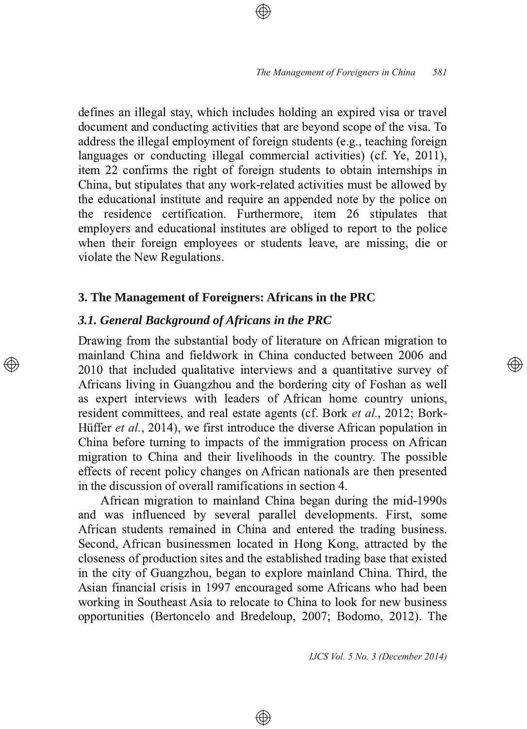defines an illegal stay, which includes holding an expired visa or travel document and conducting activities that are beyond scope of the visa. To address the illegal employment of foreign students (e.g., teaching foreign languages or conducting illegal commercial activities) (cf. Ye, 2011) , item 22 confirms the right of foreign students to obtain internships in China, but stipulates that any work-related activities must be allowed by the educational institute and require an appended note by the police on the residence certification. Furthermore, item 26 stipulates that employers and educational institutes are obliged to report to the police when their foreign employees or students leave, are missing, die or violate the New Regulations.

### **3. The Management of Foreigners: Africans in the PRC**

#### *3.1. General Background of Africans in the PRC*

 $\circledcirc$ 

Drawing from the substantial body of literature on African migration to mainland China and fieldwork in China conducted between 2006 and 2010 that included qualitative interviews and a quantitative survey of Africans living in Guangzhou and the bordering city of Foshan as well as expert interviews with leaders of African home country unions, resident committees, and real estate agents (cf. Bork et al., 2012; Bork-Hüffer et al., 2014), we first introduce the diverse African population in China before turning to impacts of the immigration process on African migration to China and their livelihoods in the country. The possible effects of recent policy changes on African nationals are then presented in the discussion of overall ramifications in section  $4$ .

African migration to mainland China began during the mid-1990s and was influenced by several parallel developments. First, some African students remained in China and entered the trading business. Second, African businessmen located in Hong Kong, attracted by the closeness of production sites and the established trading base that existed in the city of Guangzhou, began to explore mainland China. Third, the Asian financial crisis in 1997 encouraged some Africans who had been working in Southeast Asia to relocate to China to look for new business opportunities (Bertoncelo and Bredeloup, 2007; Bodomo, 2012). The

 $\circledast$ 

*IJCS Vol. 5 No. 3 (December 2014)*

</u>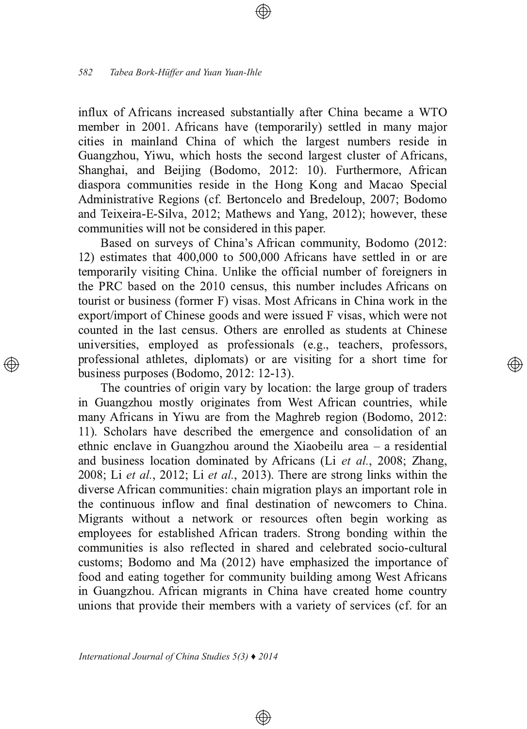influx of Africans increased substantially after China became a WTO member in 2001. Africans have (temporarily) settled in many major cities in mainland China of which the largest numbers reside in Guangzhou, Yiwu, which hosts the second largest cluster of Africans, Shanghai, and Beijing (Bodomo, 2012: 10). Furthermore, African diaspora communities reside in the Hong Kong and Macao Special Administrative Regions (cf. Bertoncelo and Bredeloup, 2007; Bodomo and Teixeira-E-Silva, 2012; Mathews and Yang, 2012); however, these communities will not be considered in this paper.

Based on surveys of China's African community, Bodomo (2012: 12) estimates that 400,000 to 500,000 Africans have settled in or are temporarily visiting China. Unlike the official number of foreigners in the PRC based on the 2010 census, this number includes Africans on tourist or business (former F) visas. Most Africans in China work in the export/import of Chinese goods and were issued F visas, which were not counted in the last census. Others are enrolled as students at Chinese universities, employed as professionals (e.g., teachers, professors, professional athletes, diplomats) or are visiting for a short time for business purposes (Bodomo, 2012: 12-13).

 $\circledcirc$ 

The countries of origin vary by location: the large group of traders in Guangzhou mostly originates from West African countries, while many Africans in Yiwu are from the Maghreb region (Bodomo, 2012: 11). Scholars have described the emergence and consolidation of an ethnic enclave in Guangzhou around the Xiaobeilu area  $-$  a residential and business location dominated by Africans (Li et al., 2008; Zhang, 2008; Li et al., 2012; Li et al., 2013). There are strong links within the diverse African communities: chain migration plays an important role in the continuous inflow and final destination of newcomers to China. Migrants without a network or resources often begin working as employees for established African traders. Strong bonding within the communities is also reflected in shared and celebrated socio-cultural customs; Bodomo and Ma (2012) have emphasized the importance of food and eating together for community building among West Africans in Guangzhou. African migrants in China have created home country unions that provide their members with a variety of services (cf. for an

 $\circledcirc$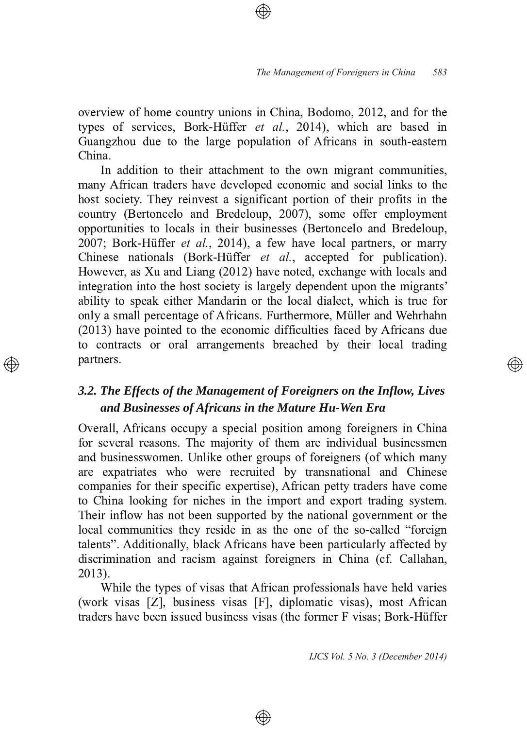overview of home country unions in China, Bodomo, 2012, and for the types of services, Bork-Hüffer et al., 2014), which are based in Guangzhou due to the large population of Africans in south-eastern  $China$ 

In addition to their attachment to the own migrant communities, many African traders have developed economic and social links to the host society. They reinvest a significant portion of their profits in the country (Bertoncelo and Bredeloup, 2007), some offer employment opportunities to locals in their businesses (Bertoncelo and Bredeloup, 2007; Bork-Hüffer et al., 2014), a few have local partners, or marry Chinese nationals (Bork-Hüffer *et al.*, accepted for publication). **.** However, as Xu and Liang (2012) have noted, exchange with locals and integration into the host society is largely dependent upon the migrants' ability to speak either Mandarin or the local dialect, which is true for only a small percentage of Africans. Furthermore, Müller and Wehrhahn  $(2013)$  have pointed to the economic difficulties faced by Africans due to contracts or oral arrangements breached by their local trading partners.

### *3.2. The Effects of the Management of Foreigners on the Inflow, Lives and* Businesses of Africans in the Mature Hu-Wen Era

Overall, Africans occupy a special position among foreigners in China for several reasons. The majority of them are individual businessmen and businesswomen. Unlike other groups of foreigners (of which many are expatriates who were recruited by transnational and Chinese companies for their specific expertise), African petty traders have come to China looking for niches in the import and export trading system. Their inflow has not been supported by the national government or the local communities they reside in as the one of the so-called "foreign" talents". Additionally, black Africans have been particularly affected by discrimination and racism against foreigners in China (cf. Callahan, 2013) .

While the types of visas that African professionals have held varies (work visas [Z], business visas [F], diplomatic visas), most African traders have been issued business visas (the former F visas; Bork-Hüffer

⊕

*IJCS Vol. 5 No. 3 (December 2014)*

</u>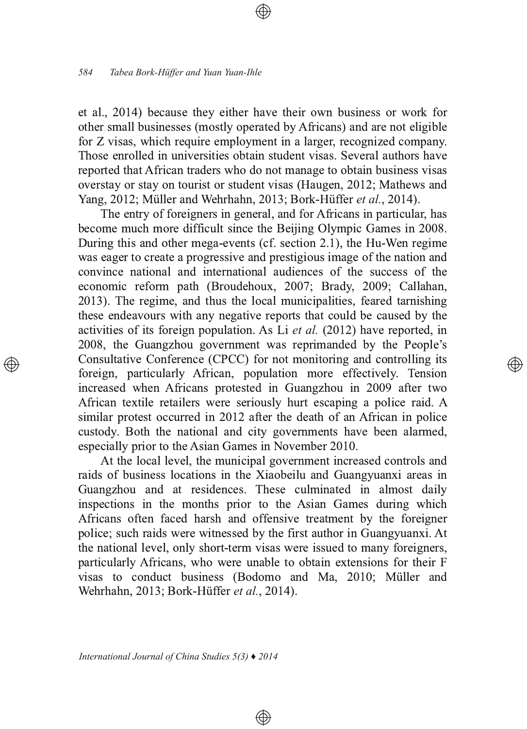et al., 2014) because they either have their own business or work for other small businesses (mostly operated by Africans) and are not eligible for Z visas, which require employment in a larger, recognized company. Those enrolled in universities obtain student visas. Several authors have reported that African traders who do not manage to obtain business visas overstay or stay on tourist or student visas (Haugen, 2012; Mathews and Yang, 2012; Müller and Wehrhahn, 2013; Bork-Hüffer et al., 2014).

The entry of foreigners in general, and for Africans in particular, has become much more difficult since the Beijing Olympic Games in 2008. During this and other mega-events (cf. section 2.1), the Hu-Wen regime was eager to create a progressive and prestigious image of the nation and convince national and international audiences of the success of the economic reform path (Broudehoux, 2007; Brady, 2009; Callahan, 2013). The regime, and thus the local municipalities, feared tarnishing these endeavours with any negative reports that could be caused by the activities of its foreign population. As Li  $et$  al. (2012) have reported, in 2008, the Guangzhou government was reprimanded by the People's Consultative Conference (CPCC) for not monitoring and controlling its foreign, particularly African, population more effectively. Tension increased when Africans protested in Guangzhou in 2009 after two African textile retailers were seriously hurt escaping a police raid. A similar protest occurred in 2012 after the death of an African in police custody. Both the national and city governments have been alarmed, especially prior to the Asian Games in November 2010.

At the local level, the municipal government increased controls and raids of business locations in the Xiaobeilu and Guangyuanxi areas in Guangzhou and at residences. These culminated in almost daily inspections in the months prior to the Asian Games during which Africans often faced harsh and offensive treatment by the foreigner police; such raids were witnessed by the first author in Guangyuanxi. At the national level, only short-term visas were issued to many foreigners, particularly Africans, who were unable to obtain extensions for their F visas to conduct business (Bodomo and Ma, 2010; Müller and Wehrhahn, 2013; Bork-Hüffer et al., 2014).

⊕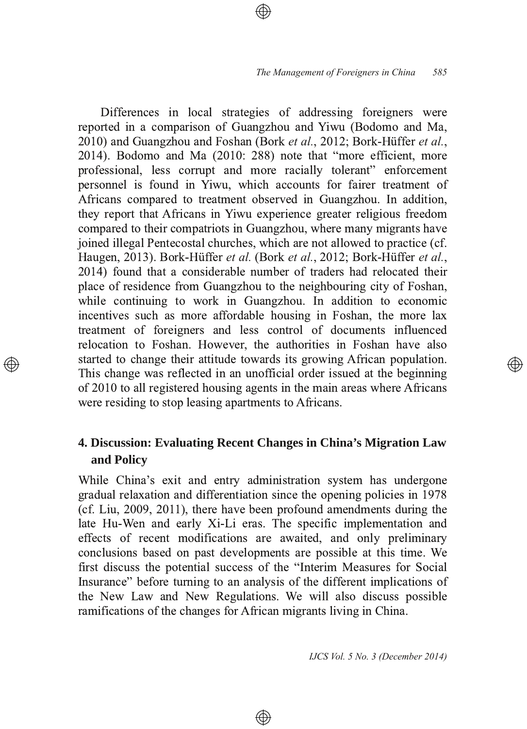Differences in local strategies of addressing foreigners were reported in a comparison of Guangzhou and Yiwu (Bodomo and Ma, 2010) and Guangzhou and Foshan (Bork et al., 2012; Bork-Hüffer et al.,  $2014$ ). Bodomo and Ma  $(2010: 288)$  note that "more efficient, more professional, less corrupt and more racially tolerant" enforcement personnel is found in Yiwu, which accounts for fairer treatment of Africans compared to treatment observed in Guangzhou. In addition, they report that Africans in Yiwu experience greater religious freedom compared to their compatriots in Guangzhou, where many migrants have joined illegal Pentecostal churches, which are not allowed to practice (cf. Haugen, 2013). Bork-Hüffer *et al*. (Bork *et al.*, 2012; Bork-Hüffer *et al.*, 2014) found that a considerable number of traders had relocated their place of residence from Guangzhou to the neighbouring city of Foshan, while continuing to work in Guangzhou. In addition to economic incentives such as more affordable housing in Foshan, the more lax treatment of foreigners and less control of documents influenced relocation to Foshan. However, the authorities in Foshan have also started to change their attitude towards its growing African population. This change was reflected in an unofficial order issued at the beginning of 2010 to all registered housing agents in the main areas where Africans were residing to stop leasing apartments to Africans.

### **4. Discussion: Evaluating Recent Changes in China's Migration Law and Policy**

While China's exit and entry administration system has undergone gradual relaxation and differentiation since the opening policies in 1978 (cf. Liu, 2009, 2011), there have been profound amendments during the late Hu-Wen and early Xi-Li eras. The specific implementation and effects of recent modifications are awaited, and only preliminary conclusions based on past developments are possible at this time. We first discuss the potential success of the "Interim Measures for Social Insurance" before turning to an analysis of the different implications of the New Law and New Regulations. We will also discuss possible ramifications of the changes for African migrants living in China.

⊕

*IJCS Vol. 5 No. 3 (December 2014)*

</u>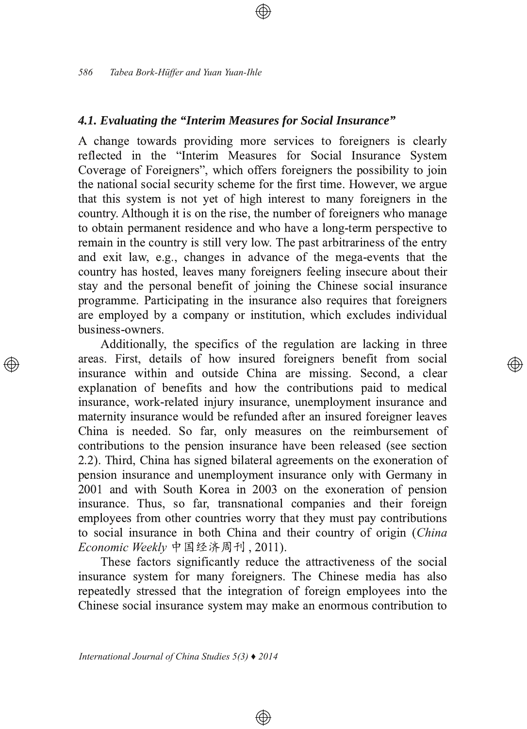#### 4.1. Evaluating the "Interim Measures for Social Insurance"

A change towards providing more services to foreigners is clearly reflected in the "Interim Measures for Social Insurance System Coverage of Foreigners", which offers foreigners the possibility to join the national social security scheme for the first time. However, we argue that this system is not yet of high interest to many foreigners in the country. Although it is on the rise, the number of foreigners who manage to obtain permanent residence and who have a long-term perspective to remain in the country is still very low. The past arbitrariness of the entry and exit law, e.g., changes in advance of the mega-events that the country has hosted, leaves many foreigners feeling insecure about their stay and the personal benefit of joining the Chinese social insurance programme. Participating in the insurance also requires that foreigners are employed by a company or institution, which excludes individual business-owners.

Additionally, the specifics of the regulation are lacking in three areas. First, details of how insured foreigners benefit from social insurance within and outside China are missing. Second, a clear explanation of benefits and how the contributions paid to medical insurance, work-related injury insurance, unemployment insurance and maternity insurance would be refunded after an insured foreigner leaves China is needed. So far, only measures on the reimbursement of contributions to the pension insurance have been released (see section 2.2). Third, China has signed bilateral agreements on the exoneration of pension insurance and unemployment insurance only with Germany in 2001 and with South Korea in 2003 on the exoneration of pension insurance. Thus, so far, transnational companies and their foreign employees from other countries worry that they must pay contributions to social insurance in both China and their country of origin (China Economic Weekly 中国经济周刊, 2011).

Ð)

These factors significantly reduce the attractiveness of the social insurance system for many foreigners. The Chinese media has also repeatedly stressed that the integration of foreign employees into the Chinese social insurance system may make an enormous contribution to

⊕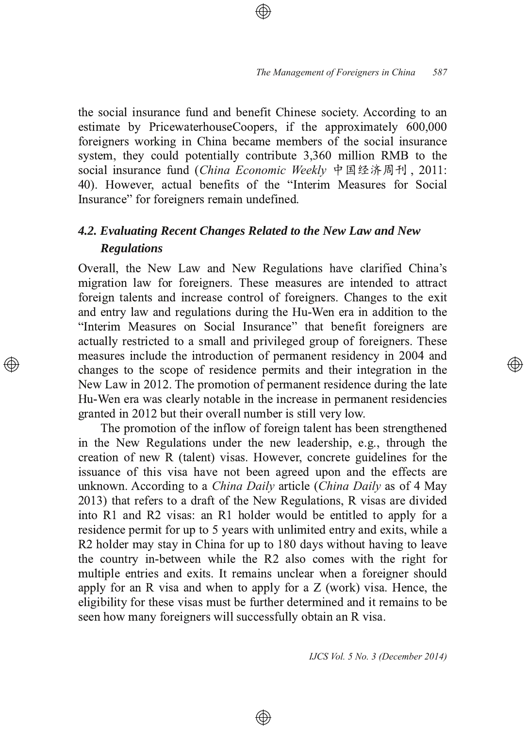the social insurance fund and benefit Chinese society. According to an estimate by PricewaterhouseCoopers, if the approximately 600,000 foreigners working in China became members of the social insurance system, they could potentially contribute 3,360 million RMB to the social insurance fund (*China Economic Weekly* 中国经济周刊, 2011: 40). However, actual benefits of the "Interim Measures for Social Insurance" for foreigners remain undefined.

# *4.2. Evaluating Recent Changes Related to the New Law and New Regulations*

Overall, the New Law and New Regulations have clarified China's migration law for foreigners. These measures are intended to attract foreign talents and increase control of foreigners. Changes to the exit and entry law and regulations during the Hu-Wen era in addition to the "Interim Measures on Social Insurance" that benefit foreigners are actually restricted to a small and privileged group of foreigners. These measures include the introduction of permanent residency in 2004 and changes to the scope of residence permits and their integration in the New Law in 2012. The promotion of permanent residence during the late Hu-Wen era was clearly notable in the increase in permanent residencies granted in 2012 but their overall number is still very low.

The promotion of the inflow of foreign talent has been strengthened in the New Regulations under the new leadership, e.g., through the creation of new R (talent) visas. However, concrete guidelines for the issuance of this visa have not been agreed upon and the effects are unknown. According to a *China Daily* article (*China Daily* as of 4 May 2013) that refers to a draft of the New Regulations, R visas are divided into R1 and R2 visas: an R1 holder would be entitled to apply for a residence permit for up to 5 years with unlimited entry and exits, while a R2 holder may stay in China for up to 180 days without having to leave the country in-between while the R2 also comes with the right for multiple entries and exits. It remains unclear when a foreigner should apply for an R visa and when to apply for a  $Z$  (work) visa. Hence, the eligibility for these visas must be further determined and it remains to be seen how many foreigners will successfully obtain an R visa.

 $\circledast$ 

*IJCS Vol. 5 No. 3 (December 2014)*

্⊕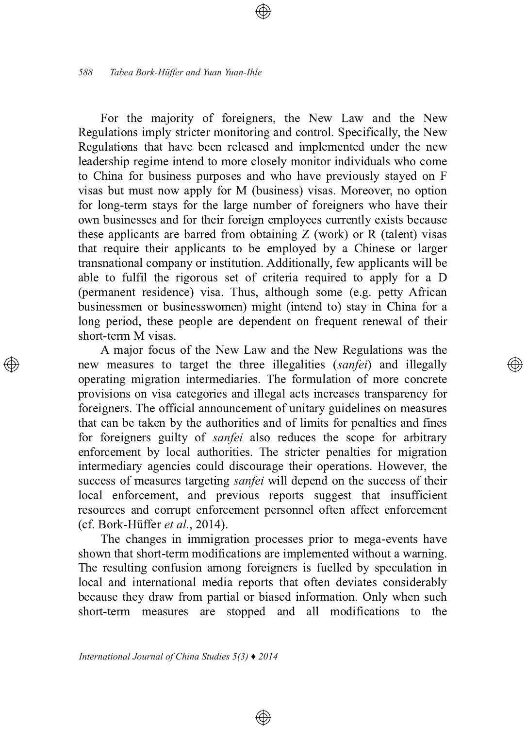For the majority of foreigners, the New Law and the New Regulations imply stricter monitoring and control. Specifically, the New Regulations that have been released and implemented under the new leadership regime intend to more closely monitor individuals who come to China for business purposes and who have previously stayed on F visas but must now apply for M (business) visas. Moreover, no option for long-term stays for the large number of foreigners who have their own businesses and for their foreign employees currently exists because these applicants are barred from obtaining  $Z$  (work) or  $R$  (talent) visas that require their applicants to be employed by a Chinese or larger transnational company or institution. Additionally, few applicants will be able to fulfil the rigorous set of criteria required to apply for a D (permanent residence) visa. Thus, although some (e.g. petty African businessmen or businesswomen) might (intend to) stay in China for a long period, these people are dependent on frequent renewal of their short-term M visas.

A major focus of the New Law and the New Regulations was the new measures to target the three illegalities *(sanfei)* and illegally operating migration intermediaries. The formulation of more concrete provisions on visa categories and illegal acts increases transparency for foreigners. The official announcement of unitary guidelines on measures that can be taken by the authorities and of limits for penalties and fines for foreigners guilty of *sanfei* also reduces the scope for arbitrary enforcement by local authorities. The stricter penalties for migration intermediary agencies could discourage their operations. However, the success of measures targeting *sanfei* will depend on the success of their local enforcement, and previous reports suggest that insufficient resources and corrupt enforcement personnel often affect enforcement (cf. Bork-Hüffer et al., 2014).

The changes in immigration processes prior to mega-events have shown that short-term modifications are implemented without a warning. The resulting confusion among foreigners is fuelled by speculation in local and international media reports that often deviates considerably because they draw from partial or biased information. Only when such short-term measures are stopped and all modifications to the

⊕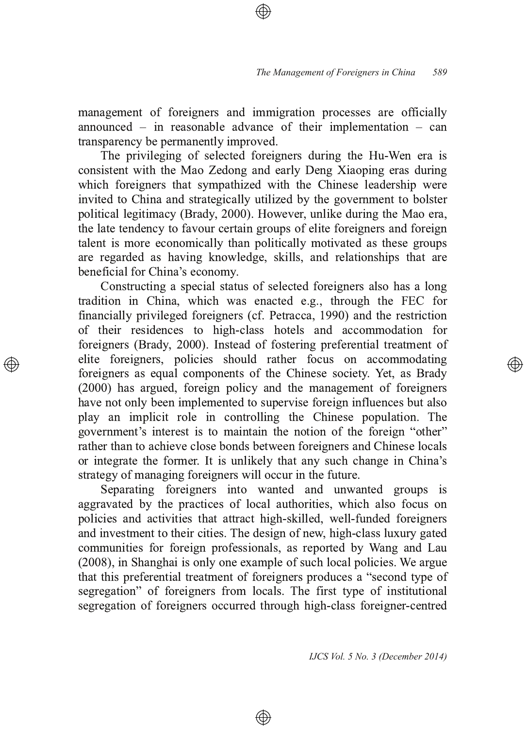management of foreigners and immigration processes are officially announced – in reasonable advance of their implementation – can transparency be permanently improved.

The privileging of selected foreigners during the Hu-Wen era is consistent with the Mao Zedong and early Deng Xiaoping eras during which foreigners that sympathized with the Chinese leadership were invited to China and strategically utilized by the government to bolster political legitimacy (Brady, 2000). However, unlike during the Mao era, the late tendency to favour certain groups of elite foreigners and foreign talent is more economically than politically motivated as these groups are regarded as having knowledge, skills, and relationships that are beneficial for China's economy.

Constructing a special status of selected foreigners also has a long tradition in China, which was enacted e.g., through the FEC for financially privileged foreigners (cf. Petracca, 1990) and the restriction of their residences to high-class hotels and accommodation for foreigners (Brady, 2000). Instead of fostering preferential treatment of elite foreigners, policies should rather focus on accommodating foreigners as equal components of the Chinese society. Yet, as Brady (2000) has argued, foreign policy and the management of foreigners have not only been implemented to supervise foreign influences but also play an implicit role in controlling the Chinese population. The government's interest is to maintain the notion of the foreign "other" rather than to achieve close bonds between foreigners and Chinese locals or integrate the former. It is unlikely that any such change in China's strategy of managing foreigners will occur in the future.

Separating foreigners into wanted and unwanted groups is aggravated by the practices of local authorities, which also focus on policies and activities that attract high-skilled, well-funded foreigners and investment to their cities. The design of new, high-class luxury gated communities for foreign professionals, as reported by Wang and Lau (2008), in Shanghai is only one example of such local policies. We argue that this preferential treatment of foreigners produces a "second type of segregation" of foreigners from locals. The first type of institutional segregation of foreigners occurred through high-class foreigner-centred

⊕

*IJCS Vol. 5 No. 3 (December 2014)*

্⊕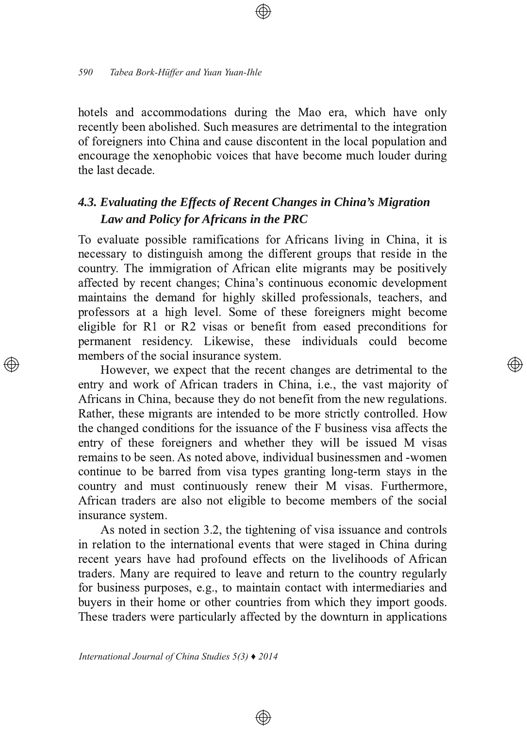hotels and accommodations during the Mao era, which have only recently been abolished. Such measures are detrimental to the integration of foreigners into China and cause discontent in the local population and encourage the xenophobic voices that have become much louder during the last decade.

### 4.3. Evaluating the Effects of Recent Changes in China's Migration Law and Policy for Africans in the PRC

To evaluate possible ramifications for Africans living in China, it is necessary to distinguish among the different groups that reside in the country. The immigration of African elite migrants may be positively affected by recent changes; China's continuous economic development maintains the demand for highly skilled professionals, teachers, and professors at a high level. Some of these foreigners might become eligible for R1 or R2 visas or benefit from eased preconditions for permanent residency. Likewise, these individuals could become members of the social insurance system.

্⊕

However, we expect that the recent changes are detrimental to the entry and work of African traders in China, i.e., the vast majority of Africans in China, because they do not benefit from the new regulations. Rather, these migrants are intended to be more strictly controlled. How the changed conditions for the issuance of the F business visa affects the entry of these foreigners and whether they will be issued M visas remains to be seen. As noted above, individual businessmen and -women continue to be barred from visa types granting long-term stays in the country and must continuously renew their M visas. Furthermore, African traders are also not eligible to become members of the social insurance system.

As noted in section 3.2, the tightening of visa issuance and controls in relation to the international events that were staged in China during recent years have had profound effects on the livelihoods of African traders. Many are required to leave and return to the country regularly for business purposes, e.g., to maintain contact with intermediaries and buyers in their home or other countries from which they import goods. These traders were particularly affected by the downturn in applications

⊕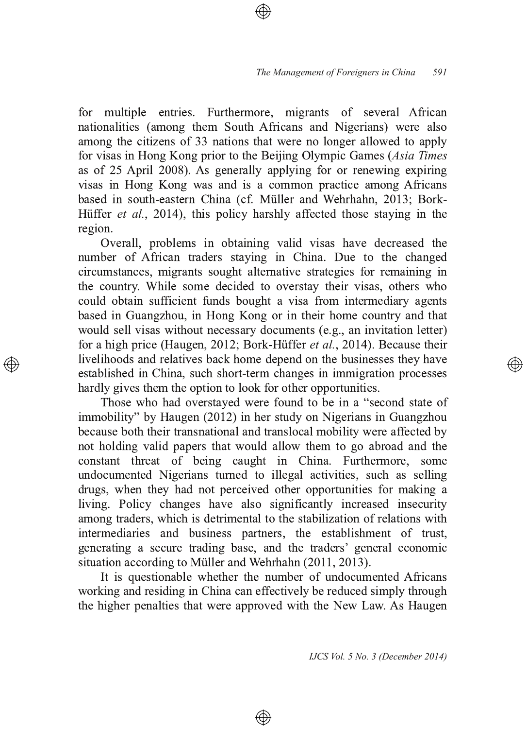for multiple entries. Furthermore, migrants of several African nationalities (among them South Africans and Nigerians) were also among the citizens of 33 nations that were no longer allowed to apply for visas in Hong Kong prior to the Beijing Olympic Games (Asia Times as of 25 April 2008). As generally applying for or renewing expiring visas in Hong Kong was and is a common practice among Africans based in south-eastern China (cf. Müller and Wehrhahn, 2013; Bork-Hüffer et al., 2014), this policy harshly affected those staying in the region.

Overall, problems in obtaining valid visas have decreased the number of African traders staying in China. Due to the changed circumstances, migrants sought alternative strategies for remaining in the country. While some decided to overstay their visas, others who could obtain sufficient funds bought a visa from intermediary agents based in Guangzhou, in Hong Kong or in their home country and that would sell visas without necessary documents (e.g., an invitation letter) for a high price (Haugen, 2012; Bork-Hüffer et al., 2014). Because their livelihoods and relatives back home depend on the businesses they have established in China, such short-term changes in immigration processes hardly gives them the option to look for other opportunities.

Those who had overstayed were found to be in a "second state of immobility" by Haugen (2012) in her study on Nigerians in Guangzhou because both their transnational and translocal mobility were affected by not holding valid papers that would allow them to go abroad and the constant threat of being caught in China. Furthermore, some undocumented Nigerians turned to illegal activities, such as selling drugs, when they had not perceived other opportunities for making a living. Policy changes have also significantly increased insecurity among traders, which is detrimental to the stabilization of relations with intermediaries and business partners, the establishment of trust, generating a secure trading base, and the traders' general economic  $s$ ituation according to Müller and Wehrhahn  $(2011, 2013)$  $\overline{\phantom{a}}$ 

It is questionable whether the number of undocumented Africans working and residing in China can effectively be reduced simply through the higher penalties that were approved with the New Law. As Haugen

⊕

*IJCS Vol. 5 No. 3 (December 2014)*

(A)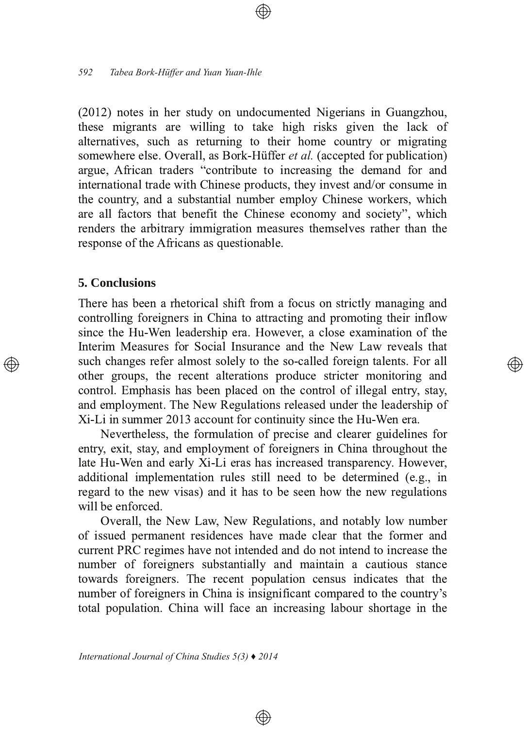(2012) notes in her study on undocumented Nigerians in Guangzhou, these migrants are willing to take high risks given the lack of alternatives, such as returning to their home country or migrating somewhere else. Overall, as Bork-Hüffer *et al.* (accepted for publication) argue, African traders "contribute to increasing the demand for and international trade with Chinese products, they invest and/or consume in the country, and a substantial number employ Chinese workers, which are all factors that benefit the Chinese economy and society", which renders the arbitrary immigration measures themselves rather than the response of the Africans as questionable.

### 5. Conclusions

There has been a rhetorical shift from a focus on strictly managing and controlling foreigners in China to attracting and promoting their inflow since the Hu-Wen leadership era. However, a close examination of the Interim Measures for Social Insurance and the New Law reveals that such changes refer almost solely to the so-called foreign talents. For all other groups, the recent alterations produce stricter monitoring and control. Emphasis has been placed on the control of illegal entry, stay, and employment. The New Regulations released under the leadership of Xi-Li in summer 2013 account for continuity since the Hu-Wen era.

Nevertheless, the formulation of precise and clearer guidelines for entry, exit, stay, and employment of foreigners in China throughout the late Hu-Wen and early Xi-Li eras has increased transparency. However, additional implementation rules still need to be determined (e.g., in regard to the new visas) and it has to be seen how the new regulations will be enforced.

Overall, the New Law, New Regulations, and notably low number of issued permanent residences have made clear that the former and current PRC regimes have not intended and do not intend to increase the number of foreigners substantially and maintain a cautious stance towards foreigners. The recent population census indicates that the number of foreigners in China is insignificant compared to the country's total population. China will face an increasing labour shortage in the

⊕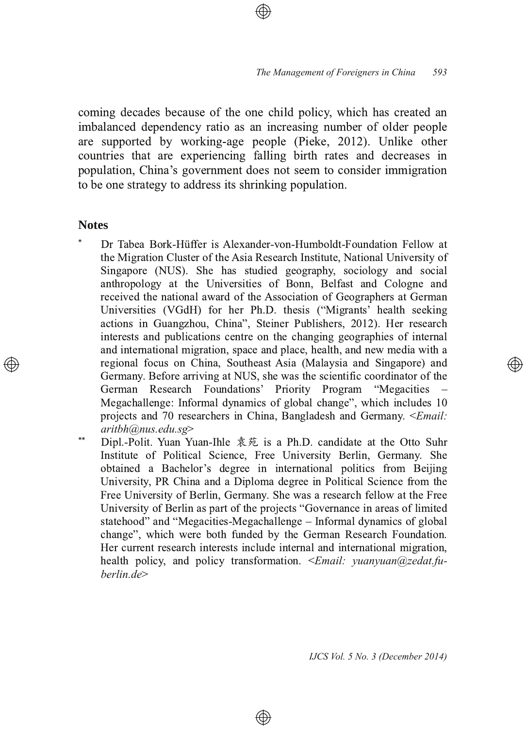coming decades because of the one child policy, which has created an imbalanced dependency ratio as an increasing number of older people are supported by working-age people (Pieke, 2012). Unlike other countries that are experiencing falling birth rates and decreases in population, China's government does not seem to consider immigration to be one strategy to address its shrinking population.

#### **Notes**

- \* Dr Tabea Bork-Hüffer is Alexander-von-Humboldt-Foundation Fellow at the Migration Cluster of the Asia Research Institute, National University of Singapore (NUS). She has studied geography, sociology and social anthropology at the Universities of Bonn, Belfast and Cologne and received the national award of the Association of Geographers at German Universities (VGdH) for her Ph.D. thesis ("Migrants' health seeking actions in Guangzhou, China", Steiner Publishers, 2012). Her research interests and publications centre on the changing geographies of internal and international migration, space and place, health, and new media with a regional focus on China, Southeast Asia (Malaysia and Singapore) and Germany. Before arriving at NUS, she was the scientific coordinator of the German Research Foundations' Priority Program "Megacities" Megachallenge: Informal dynamics of global change", which includes 10 projects and 70 researchers in China, Bangladesh and Germany. <*Email: aritbh@nus.edu.sg*
- \*\* Dipl.-Polit. Yuan Yuan-Ihle 袁苑 is a Ph.D. candidate at the Otto Suhr Institute of Political Science, Free University Berlin, Germany. She obtained a Bachelor's degree in international politics from Beijing University, PR China and a Diploma degree in Political Science from the Free University of Berlin, Germany. She was a research fellow at the Free University of Berlin as part of the projects "Governance in areas of limited statehood" and "Megacities-Megachallenge – Informal dynamics of global change", which were both funded by the German Research Foundation. Her current research interests include internal and international migration, health policy, and policy transformation. *<Email: vuanyuan@zedat.fuberlin.de*

 $\circledast$ 

*IJCS Vol. 5 No. 3 (December 2014)*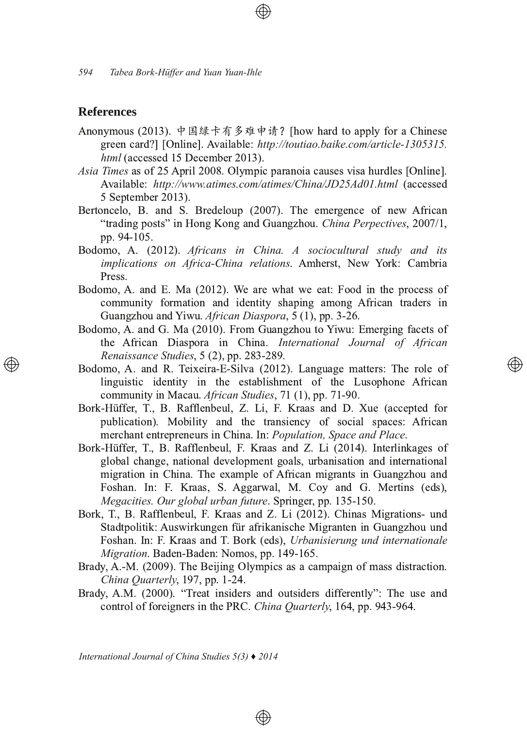### **References**

- Anonymous (2013). 中国绿卡有多难申请? [how hard to apply for a Chinese green card?] [Online]. Available: http://toutiao.baike.com/article-1305315. html (accessed 15 December 2013).
- Asia Times as of 25 April 2008. Olympic paranoia causes visa hurdles [Online]. Available: http://www.atimes.com/atimes/China/JD25Ad01.html (accessed 5 September 2013).
- Bertoncelo, B. and S. Bredeloup (2007). The emergence of new African "trading posts" in Hong Kong and Guangzhou. China Perpectives, 2007/1, pp. 94-105.
- Bodomo, A. (2012). Africans in China. A sociocultural study and its implications on Africa-China relations. Amherst, New York: Cambria Press.
- Bodomo, A. and E. Ma (2012). We are what we eat: Food in the process of community formation and identity shaping among African traders in Guangzhou and Yiwu. African Diaspora, 5 (1), pp. 3-26.
- Bodomo, A. and G. Ma (2010). From Guangzhou to Yiwu: Emerging facets of the African Diaspora in China. International Journal of African Renaissance Studies, 5 (2), pp. 283-289.
- Bodomo, A. and R. Teixeira-E-Silva (2012). Language matters: The role of linguistic identity in the establishment of the Lusophone African community in Macau. African Studies, 71 (1), pp. 71-90.
- Bork-Hüffer, T., B. Rafflenbeul, Z. Li, F. Kraas and D. Xue (accepted for publication). Mobility and the transiency of social spaces: African merchant entrepreneurs in China. In: Population, Space and Place.
- Bork-Hüffer, T., B. Rafflenbeul, F. Kraas and Z. Li (2014). Interlinkages of global change, national development goals, urbanisation and international migration in China. The example of African migrants in Guangzhou and Foshan. In: F. Kraas, S. Aggarwal, M. Coy and G. Mertins (eds), Megacities. Our global urban future. Springer, pp. 135-150.
- Bork, T., B. Rafflenbeul, F. Kraas and Z. Li (2012). Chinas Migrations- und Stadtpolitik: Auswirkungen für afrikanische Migranten in Guangzhou und Foshan. In: F. Kraas and T. Bork (eds), Urbanisierung und internationale Migration. Baden-Baden: Nomos, pp. 149-165.
- Brady, A.-M. (2009). The Beijing Olympics as a campaign of mass distraction. China Quarterly, 197, pp. 1-24.
- Brady, A.M. (2000). "Treat insiders and outsiders differently": The use and control of foreigners in the PRC. China Quarterly, 164, pp. 943-964.

⊕

International Journal of China Studies  $5(3)$   $\blacklozenge$  2014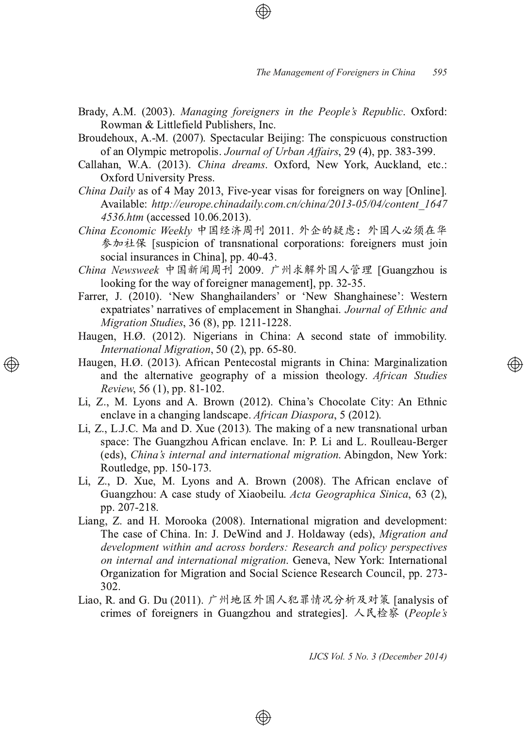- Brady, A.M. (2003). Managing foreigners in the People's Republic. Oxford: Rowman & Littlefield Publishers, Inc.
- Broudehoux, A.-M. (2007). Spectacular Beijing: The conspicuous construction of an Olympic metropolis. Journal of Urban Affairs, 29 (4), pp. 383-399.
- Callahan, W.A. (2013). China dreams. Oxford, New York, Auckland, etc.: Oxford University Press.
- *China Daily* as of 4 May 2013, Five-year visas for foreigners on way [Online]. Available: http://europe.chinadaily.com.cn/china/2013-05/04/content 1647 4536.htm (accessed 10.06.2013).
- China Economic Weekly 中国经济周刊 2011. 外企的疑虑: 外国人必须在华 参加社保 [suspicion of transnational corporations: foreigners must join social insurances in China], pp. 40-43.
- China Newsweek 中国新闻周刊 2009. 广州求解外国人管理 [Guangzhou is looking for the way of foreigner management], pp. 32-35.
- Farrer, J. (2010). 'New Shanghailanders' or 'New Shanghainese': Western expatriates' narratives of emplacement in Shanghai. Journal of Ethnic and Migration Studies, 36 (8), pp. 1211-1228.
- Haugen, H.Ø. (2012). Nigerians in China: A second state of immobility. International Migration, 50 (2), pp. 65-80.
- Haugen, H.Ø. (2013). African Pentecostal migrants in China: Marginalization and the alternative geography of a mission theology. African Studies Review, 56 (1), pp. 81-102.
- Li, Z., M. Lyons and A. Brown (2012). China's Chocolate City: An Ethnic enclave in a changing landscape. African Diaspora, 5 (2012).
- Li, Z., L.J.C. Ma and D. Xue (2013). The making of a new transnational urban space: The Guangzhou African enclave. In: P. Li and L. Roulleau-Berger (eds), China's internal and international migration. Abingdon, New York: Routledge, pp. 150-173.
- Li, Z., D. Xue, M. Lyons and A. Brown (2008). The African enclave of Guangzhou: A case study of Xiaobeilu. Acta Geographica Sinica, 63 (2), pp. 207-218.
- Liang, Z. and H. Morooka (2008). International migration and development: The case of China. In: J. DeWind and J. Holdaway (eds), Migration and development within and across borders: Research and policy perspectives on internal and international migration. Geneva, New York: International Organization for Migration and Social Science Research Council, pp. 273-302.
- Liao, R. and G. Du (2011). 广州地区外国人犯罪情况分析及对策 [analysis of crimes of foreigners in Guangzhou and strategies]. 人民检察 (People's

⊕

IJCS Vol. 5 No. 3 (December 2014)

</u>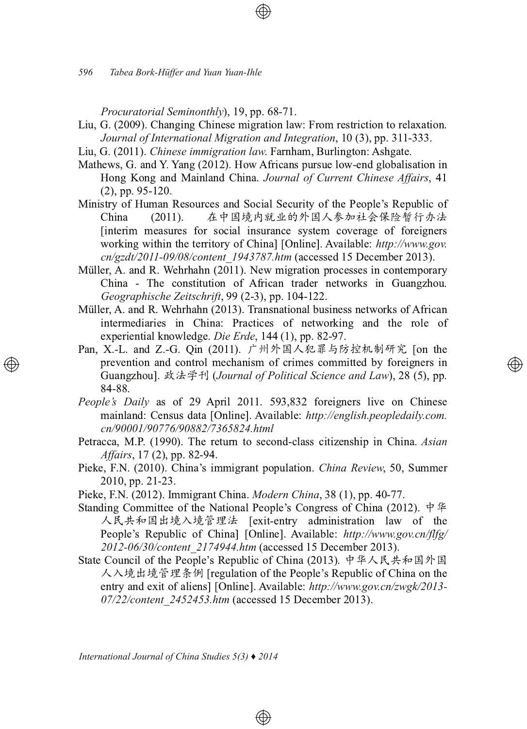Procuratorial Seminonthly), 19, pp. 68-71.

- Liu, G. (2009). Changing Chinese migration law: From restriction to relaxation. Journal of International Migration and Integration, 10 (3), pp. 311-333.
- Liu, G. (2011). Chinese immigration law. Farnham. Burlington: Ashgate.
- Mathews, G. and Y. Yang (2012). How Africans pursue low-end globalisation in Hong Kong and Mainland China. Journal of Current Chinese Affairs, 41  $(2)$ , pp. 95-120.
- Ministry of Human Resources and Social Security of the People's Republic of 在中国境内就业的外国人参加社会保险暂行办法 China  $(2011).$ [interim measures for social insurance system coverage of foreigners] working within the territory of China] [Online]. Available: http://www.gov. cn/gzdt/2011-09/08/content 1943787.htm (accessed 15 December 2013).
- Müller, A. and R. Wehrhahn (2011). New migration processes in contemporary China - The constitution of African trader networks in Guangzhou. Geographische Zeitschrift, 99 (2-3), pp. 104-122.
- Müller, A. and R. Wehrhahn (2013). Transnational business networks of African intermediaries in China: Practices of networking and the role of experiential knowledge. Die Erde, 144 (1), pp. 82-97.
- Pan, X,-L, and Z,-G, Oin (2011). 广州外国人犯罪与防控机制研究 [on the prevention and control mechanism of crimes committed by foreigners in Guangzhou]. 政法学刊 (Journal of Political Science and Law), 28 (5), pp. 84-88.

- People's Daily as of 29 April 2011. 593,832 foreigners live on Chinese mainland: Census data [Online]. Available: http://english.peopledaily.com. cn/90001/90776/90882/7365824.html
- Petracca, M.P. (1990). The return to second-class citizenship in China. Asian *Affairs*, 17(2), pp. 82-94.
- Pieke, F.N. (2010). China's immigrant population. China Review, 50, Summer 2010, pp. 21-23.
- Pieke, F.N. (2012). Immigrant China. *Modern China*, 38 (1), pp. 40-77.
- Standing Committee of the National People's Congress of China (2012).  $\dot{\mathbb{P}} \not\cong$ 人民共和国出境入境管理法 [exit-entry administration law of the People's Republic of China] [Online]. Available: http://www.gov.cn/flfg/ 2012-06/30/content 2174944.htm (accessed 15 December 2013).
- State Council of the People's Republic of China (2013). 中华人民共和国外国 人入境出境管理条例 [regulation of the People's Republic of China on the entry and exit of aliens] [Online]. Available: http://www.gov.cn/zwgk/2013-07/22/content 2452453.htm (accessed 15 December 2013).

 $\circledcirc$ 

International Journal of China Studies  $5(3)$   $\blacklozenge$  2014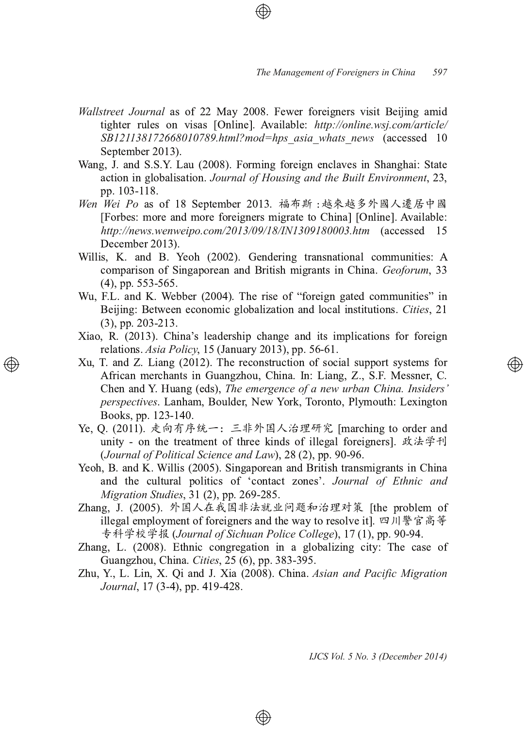- Wallstreet Journal as of 22 May 2008. Fewer foreigners visit Beijing amid tighter rules on visas [Online]. Available: http://online.wsj.com/article/ *SB121138172668010789.html?mod=hps\_asia\_whats\_news\_(accessed\_10* September 2013) .
- Wang, J. and S.S.Y. Lau (2008). Forming foreign enclaves in Shanghai: State action in globalisation. Journal of Housing and the Built Environment, 23, pp. 103-118.
- *Wen Wei Po* as of 18 September 2013. [Forbes: more and more foreigners migrate to China] [Online]. Available: *http://news.wenweipo.com/2013/09/18/IN1309180003.htm* (accessed 15 December 2013) l,
- Willis, K. and B. Yeoh (2002). Gendering transnational communities: A comparison of Singaporean and British migrants in China. Geoforum, 33  $(4)$ , pp. 553-565.
- Wu, F.L. and K. Webber (2004). The rise of "foreign gated communities" in Beijing: Between economic globalization and local institutions. Cities, 21  $(3)$ , pp. 203-213.
- Xiao, R. (2013). China's leadership change and its implications for foreign relations. Asia Policy, 15 (January 2013), pp. 56-61.
- Xu, T. and Z. Liang (2012). The reconstruction of social support systems for African merchants in Guangzhou, China. In: Liang, Z., S.F. Messner, C. Chen and Y. Huang (eds), *The emergence of a new urban China. Insiders' perspectives*. Lanham, Boulder, New York, Toronto, Plymouth: Lexington Books, pp. 123-140.
- Ye, Q. (2011). 走向有序统一:三非外国人治理研究 [marching to order and unity - on the treatment of three kinds of illegal foreigners]. 政法学刊 (Journal of Political Science and Law), 28 (2), pp. 90-96.
- Yeoh, B. and K. Willis (2005). Singaporean and British transmigrants in China and the cultural politics of 'contact zones'. Journal of Ethnic and *Migration Studies, 31 (2), pp. 269-285.*
- Zhang, J. (2005). 外国人在我国非法就业问题和治理对策 [the problem of illegal employment of foreigners and the way to resolve it]. 四川警官高等 (Journal of Sichuan Police College), 17 (1), pp. 90-94.
- Zhang, L. (2008). Ethnic congregation in a globalizing city: The case of Guangzhou, China. Cities, 25 (6), pp. 383-395.
- Zhu, Y., L. Lin, X. Qi and J. Xia (2008). China. Asian and Pacific Migration Journal, 17 (3-4), pp. 419-428.

⊕

*IJCS Vol. 5 No. 3 (December 2014)*

</u>